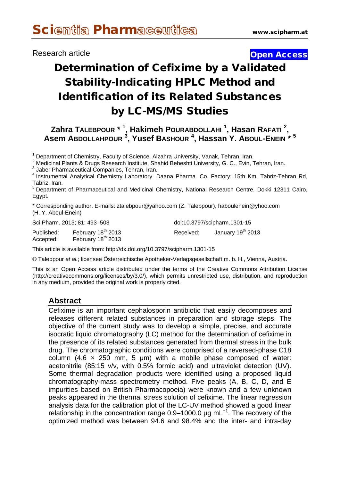# Research article **Contract Contract Contract Contract Contract Contract Contract Contract Contract Contract Contract Contract Contract Contract Contract Contract Contract Contract Contract Contract Contract Contract Contra**

# Determination of Cefixime by a Validated Stability-Indicating HPLC Method and Identification of its Related Substances by LC-MS/MS Studies

**Zahra TALEBPOUR \* <sup>1</sup> , Hakimeh POURABDOLLAHI <sup>1</sup> , Hasan RAFATI <sup>2</sup> , Asem ABDOLLAHPOUR <sup>3</sup> , Yusef BASHOUR <sup>4</sup> , Hassan Y. ABOUL-ENEIN \* <sup>5</sup>**

<sup>1</sup> Department of Chemistry, Faculty of Science, Alzahra University, Vanak, Tehran, Iran.<br>
<sup>2</sup> Medicinal Plants & Drugs Research Institute, Shahid Beheshti University, G. C., Evin, Tehran, Iran.<br>
<sup>3</sup> Jaber Pharmaceutical

Tabriz, Iran.<br><sup>5</sup> Department of Pharmaceutical and Medicinal Chemistry, National Research Centre, Dokki 12311 Cairo, Egypt.

\* Corresponding author. E-mails: [ztalebpour@yahoo.com](mailto:ztalebpour@yahoo.com) (Z. Talebpour), [haboulenein@yhoo.com](mailto:haboulenein@yhoo.com) (H. Y. Aboul-Enein)

Sci Pharm. 2013; 81: 493–503 doi:10.3797/scipharm.1301-15

Accepted: February 18<sup>th</sup> 2013

Published: February 18<sup>th</sup> 2013 Received: January 19<sup>th</sup> 2013

This article is available from: http://dx.doi.org/10.3797/scipharm.1301-15

© Talebpour *et al.*; licensee Österreichische Apotheker-Verlagsgesellschaft m. b. H., Vienna, Austria.

This is an Open Access article distributed under the terms of the Creative Commons Attribution License [\(http://creativecommons.org/licenses/by/3.0/\)](http://creativecommons.org/licenses/by/3.0/), which permits unrestricted use, distribution, and reproduction in any medium, provided the original work is properly cited.

## **Abstract**

Cefixime is an important cephalosporin antibiotic that easily decomposes and releases different related substances in preparation and storage steps. The objective of the current study was to develop a simple, precise, and accurate isocratic liquid chromatography (LC) method for the determination of cefixime in the presence of its related substances generated from thermal stress in the bulk drug. The chromatographic conditions were comprised of a reversed‐phase C18 column  $(4.6 \times 250 \text{ mm}, 5 \text{ \mu m})$  with a mobile phase composed of water: acetonitrile (85:15 v/v, with 0.5% formic acid) and ultraviolet detection (UV). Some thermal degradation products were identified using a proposed liquid chromatography-mass spectrometry method. Five peaks (A, B, C, D, and E impurities based on British Pharmacopoeia) were known and a few unknown peaks appeared in the thermal stress solution of cefixime. The linear regression analysis data for the calibration plot of the LC-UV method showed a good linear relationship in the concentration range  $0.9-1000.0$  µg mL<sup>-1</sup>. The recovery of the optimized method was between 94.6 and 98.4% and the inter- and intra-day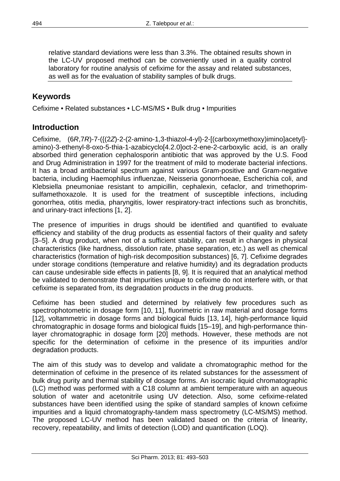relative standard deviations were less than 3.3%. The obtained results shown in the LC-UV proposed method can be conveniently used in a quality control laboratory for routine analysis of cefixime for the assay and related substances, as well as for the evaluation of stability samples of bulk drugs.

# **Keywords**

Cefixime • Related substances • LC-MS/MS • Bulk drug • Impurities

# **Introduction**

Cefixime, (6*R*,7*R*)-7-({(2*Z*)-2-(2-amino-1,3-thiazol-4-yl)-2-[(carboxymethoxy)imino]acetyl} amino)-3-ethenyl-8-oxo-5-thia-1-azabicyclo[4.2.0]oct-2-ene-2-carboxylic acid, is an orally absorbed third generation cephalosporin antibiotic that was approved by the U.S. Food and Drug Administration in 1997 for the treatment of mild to moderate bacterial infections. It has a broad antibacterial spectrum against various Gram-positive and Gram-negative bacteria, including Haemophilus influenzae, Neisseria gonorrhoeae, Escherichia coli, and Klebsiella pneumoniae resistant to ampicillin, cephalexin, cefaclor, and trimethoprimsulfamethoxazole. It is used for the treatment of susceptible infections, including gonorrhea, otitis media, pharyngitis, lower respiratory-tract infections such as bronchitis, and urinary-tract infections [1, 2].

The presence of impurities in drugs should be identified and quantified to evaluate efficiency and stability of the drug products as essential factors of their quality and safety [3–5]. A drug product, when not of a sufficient stability, can result in changes in physical characteristics (like hardness, dissolution rate, phase separation, etc.) as well as chemical characteristics (formation of high-risk decomposition substances) [6, 7]. Cefixime degrades under storage conditions (temperature and relative humidity) and its degradation products can cause undesirable side effects in patients [8, 9]. It is required that an analytical method be validated to demonstrate that impurities unique to cefixime do not interfere with, or that cefixime is separated from, its degradation products in the drug products.

Cefixime has been studied and determined by relatively few procedures such as spectrophotometric in dosage form [10, 11], fluorimetric in raw material and dosage forms [12], voltammetric in dosage forms and biological fluids [13, 14], high-performance liquid chromatographic in dosage forms and biological fluids [15–19], and high-performance thinlayer chromatographic in dosage form [20] methods. However, these methods are not specific for the determination of cefixime in the presence of its impurities and/or degradation products.

The aim of this study was to develop and validate a chromatographic method for the determination of cefixime in the presence of its related substances for the assessment of bulk drug purity and thermal stability of dosage forms. An isocratic liquid chromatographic (LC) method was performed with a C18 column at ambient temperature with an aqueous solution of water and acetonitrile using UV detection. Also, some cefixime-related substances have been identified using the spike of standard samples of known cefixime impurities and a liquid chromatography-tandem mass spectrometry (LC-MS/MS) method. The proposed LC-UV method has been validated based on the criteria of linearity, recovery, repeatability, and limits of detection (LOD) and quantification (LOQ).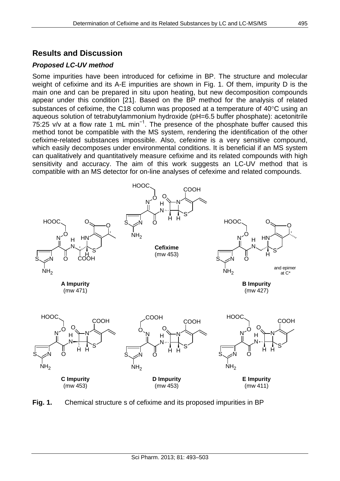# **Results and Discussion**

# *Proposed LC-UV method*

Some impurities have been introduced for cefixime in BP. The structure and molecular weight of cefixime and its A-E impurities are shown in Fig. 1. Of them, impurity D is the main one and can be prepared in situ upon heating, but new decomposition compounds appear under this condition [21]. Based on the BP method for the analysis of related substances of cefixime, the C18 column was proposed at a temperature of 40°C using an aqueous solution of tetrabutylammonium hydroxide (pH=6.5 buffer phosphate): acetonitrile 75:25 v/v at a flow rate 1 mL min−1. The presence of the phosphate buffer caused this method tonot be compatible with the MS system, rendering the identification of the other cefixime-related substances impossible. Also, cefexime is a very sensitive compound, which easily decomposes under environmental conditions. It is beneficial if an MS system can qualitatively and quantitatively measure cefixime and its related compounds with high sensitivity and accuracy. The aim of this work suggests an LC-UV method that is compatible with an MS detector for on-line analyses of cefexime and related compounds.



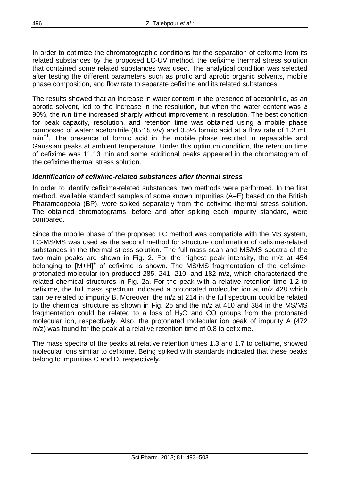In order to optimize the chromatographic conditions for the separation of cefixime from its related substances by the proposed LC-UV method, the cefixime thermal stress solution that contained some related substances was used. The analytical condition was selected after testing the different parameters such as protic and aprotic organic solvents, mobile phase composition, and flow rate to separate cefixime and its related substances.

The results showed that an increase in water content in the presence of acetonitrile, as an aprotic solvent, led to the increase in the resolution, but when the water content was ≥ 90%, the run time increased sharply without improvement in resolution. The best condition for peak capacity, resolution, and retention time was obtained using a mobile phase composed of water: acetonitrile (85:15 v/v) and 0.5% formic acid at a flow rate of 1.2 mL min<sup>-1</sup>. The presence of formic acid in the mobile phase resulted in repeatable and Gaussian peaks at ambient temperature. Under this optimum condition, the retention time of cefixime was 11.13 min and some additional peaks appeared in the chromatogram of the cefixime thermal stress solution.

#### *Identification of cefixime-related substances after thermal stress*

In order to identify cefixime-related substances, two methods were performed. In the first method, available standard samples of some known impurities (A–E) based on the British Pharamcopeoia (BP), were spiked separately from the cefixime thermal stress solution. The obtained chromatograms, before and after spiking each impurity standard, were compared.

Since the mobile phase of the proposed LC method was compatible with the MS system, LC-MS/MS was used as the second method for structure confirmation of cefixime-related substances in the thermal stress solution. The full mass scan and MS/MS spectra of the two main peaks are shown in Fig. 2. For the highest peak intensity, the m/z at 454 belonging to  $[M+H]^+$  of cefixime is shown. The MS/MS fragmentation of the cefiximeprotonated molecular ion produced 285, 241, 210, and 182 m/z, which characterized the related chemical structures in Fig. 2a. For the peak with a relative retention time 1.2 to cefixime, the full mass spectrum indicated a protonated molecular ion at m/z 428 which can be related to impurity B. Moreover, the m/z at 214 in the full spectrum could be related to the chemical structure as shown in Fig. 2b and the m/z at 410 and 384 in the MS/MS fragmentation could be related to a loss of  $H<sub>2</sub>O$  and CO groups from the protonated molecular ion, respectively. Also, the protonated molecular ion peak of impurity A (472 m/z) was found for the peak at a relative retention time of 0.8 to cefixime.

The mass spectra of the peaks at relative retention times 1.3 and 1.7 to cefixime, showed molecular ions similar to cefixime. Being spiked with standards indicated that these peaks belong to impurities C and D, respectively.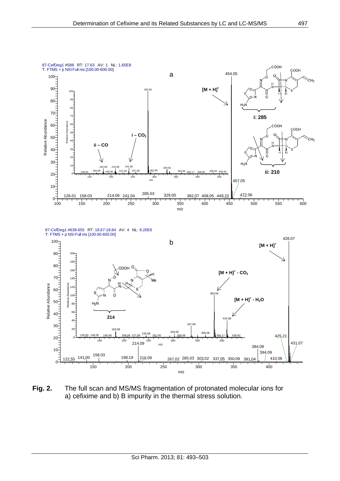

**Fig. 2.** The full scan and MS/MS fragmentation of protonated molecular ions for a) cefixime and b) B impurity in the thermal stress solution.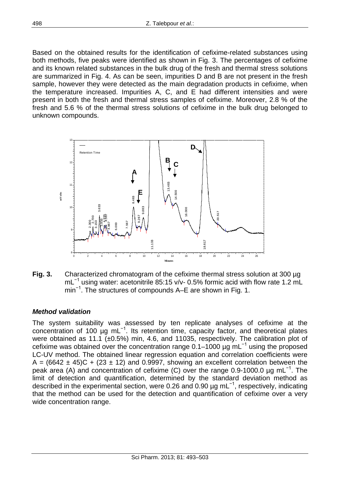Based on the obtained results for the identification of cefixime-related substances using both methods, five peaks were identified as shown in Fig. 3. The percentages of cefixime and its known related substances in the bulk drug of the fresh and thermal stress solutions are summarized in Fig. 4. As can be seen, impurities D and B are not present in the fresh sample, however they were detected as the main degradation products in cefixime, when the temperature increased. Impurities A, C, and E had different intensities and were present in both the fresh and thermal stress samples of cefixime. Moreover, 2.8 % of the fresh and 5.6 % of the thermal stress solutions of cefixime in the bulk drug belonged to unknown compounds.



**Fig. 3.** Characterized chromatogram of the cefixime thermal stress solution at 300 µg mL<sup>-1</sup> using water: acetonitrile 85:15 v/v- 0.5% formic acid with flow rate 1.2 mL min<sup>-1</sup>. The structures of compounds A–E are shown in Fig. 1.

## *Method validation*

The system suitability was assessed by ten replicate analyses of cefixime at the concentration of 100 µg mL−1. Its retention time, capacity factor, and theoretical plates were obtained as 11.1 (±0.5%) min, 4.6, and 11035, respectively. The calibration plot of cefixime was obtained over the concentration range  $0.1-1000 \mu g$  mL<sup>-1</sup> using the proposed LC-UV method. The obtained linear regression equation and correlation coefficients were A =  $(6642 \pm 45)C + (23 \pm 12)$  and 0.9997, showing an excellent correlation between the peak area (A) and concentration of cefixime (C) over the range 0.9-1000.0 μg mL<sup>-1</sup>. The limit of detection and quantification, determined by the standard deviation method as described in the experimental section, were 0.26 and 0.90 µg mL−1, respectively, indicating that the method can be used for the detection and quantification of cefixime over a very wide concentration range.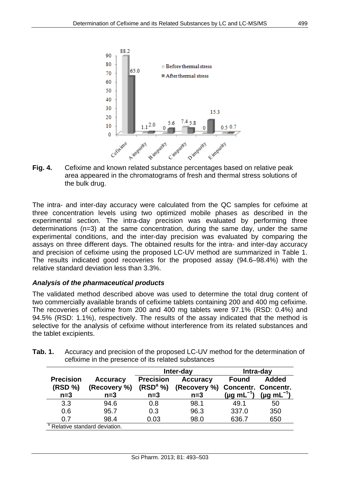

**Fig. 4.** Cefixime and known related substance percentages based on relative peak area appeared in the chromatograms of fresh and thermal stress solutions of the bulk drug.

The intra- and inter-day accuracy were calculated from the QC samples for cefixime at three concentration levels using two optimized mobile phases as described in the experimental section. The intra-day precision was evaluated by performing three determinations (n=3) at the same concentration, during the same day, under the same experimental conditions, and the inter-day precision was evaluated by comparing the assays on three different days. The obtained results for the intra- and inter-day accuracy and precision of cefixime using the proposed LC-UV method are summarized in Table 1. The results indicated good recoveries for the proposed assay (94.6–98.4%) with the relative standard deviation less than 3.3%.

## *Analysis of the pharmaceutical products*

The validated method described above was used to determine the total drug content of two commercially available brands of cefixime tablets containing 200 and 400 mg cefixime. The recoveries of cefixime from 200 and 400 mg tablets were 97.1% (RSD: 0.4%) and 94.5% (RSD: 1.1%), respectively. The results of the assay indicated that the method is selective for the analysis of cefixime without interference from its related substances and the tablet excipients.

|                             |                                           | Inter-day                                |                                 | Intra-day                                  |                      |
|-----------------------------|-------------------------------------------|------------------------------------------|---------------------------------|--------------------------------------------|----------------------|
| <b>Precision</b><br>(RSD %) | <b>Accuracy</b><br>(Recovery %)           | <b>Precision</b><br>(RSD <sup>a</sup> %) | <b>Accuracy</b><br>(Recovery %) | <b>Found</b><br><b>Concentr. Concentr.</b> | <b>Added</b>         |
| $n=3$                       | $n=3$                                     | $n=3$                                    | $n=3$                           | $(\mu g \, mL^{-1})$                       | $(\mu g \, mL^{-1})$ |
| 3.3                         | 94.6                                      | 0.8                                      | 98.1                            | 49.1                                       | 50                   |
| 0.6                         | 95.7                                      | 0.3                                      | 96.3                            | 337.0                                      | 350                  |
| 0.7                         | 98.4                                      | 0.03                                     | 98.0                            | 636.7                                      | 650                  |
|                             | <sup>a</sup> Relative standard deviation. |                                          |                                 |                                            |                      |

**Tab. 1.** Accuracy and precision of the proposed LC-UV method for the determination of cefixime in the presence of its related substances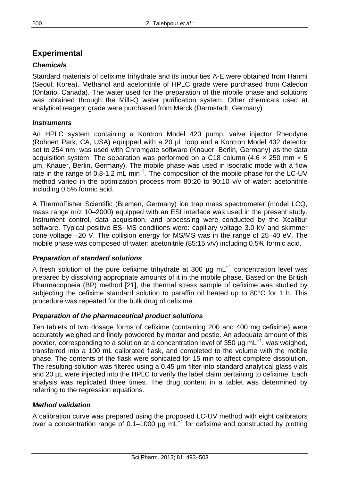# **Experimental**

# *Chemicals*

Standard materials of cefixime trihydrate and its impurities A-E were obtained from Hanmi (Seoul, Korea). Methanol and acetonitrile of HPLC grade were purchased from Caledon (Ontario, Canada). The water used for the preparation of the mobile phase and solutions was obtained through the Milli-Q water purification system. Other chemicals used at analytical reagent grade were purchased from Merck (Darmstadt, Germany).

# *Instruments*

An HPLC system containing a Kontron Model 420 pump, valve injector Rheodyne (Rohnert Park, CA, USA) equipped with a 20 µL loop and a Kontron Model 432 detector set to 254 nm, was used with Chromgate software (Knauer, Berlin, Germany) as the data acquisition system. The separation was performed on a C18 column (4.6  $\times$  250 mm  $\times$  5 µm, Knauer, Berlin, Germany). The mobile phase was used in isocratic mode with a flow rate in the range of 0.8-1.2 mL min<sup>-1</sup>. The composition of the mobile phase for the LC-UV method varied in the optimization process from 80:20 to 90:10 v/v of water: acetonitrile including 0.5% formic acid.

A ThermoFisher Scientific (Bremen, Germany) ion trap mass spectrometer (model LCQ, mass range m/z 10–2000) equipped with an ESI interface was used in the present study. Instrument control, data acquisition, and processing were conducted by the Xcalibur software. Typical positive ESI-MS conditions were: capillary voltage 3.0 kV and skimmer cone voltage –20 V. The collision energy for MS/MS was in the range of 25–40 eV. The mobile phase was composed of water: acetonitrile (85:15 v/v) including 0.5% formic acid.

## *Preparation of standard solutions*

A fresh solution of the pure cefixime trihydrate at 300 µg mL<sup>-1</sup> concentration level was prepared by dissolving appropriate amounts of it in the mobile phase. Based on the British Pharmacopoeia (BP) method [21], the thermal stress sample of cefixime was studied by subjecting the cefixime standard solution to paraffin oil heated up to 80°C for 1 h. This procedure was repeated for the bulk drug of cefixime.

## *Preparation of the pharmaceutical product solutions*

Ten tablets of two dosage forms of cefixime (containing 200 and 400 mg cefixime) were accurately weighed and finely powdered by mortar and pestle. An adequate amount of this powder, corresponding to a solution at a concentration level of 350 µg mL<sup>-1</sup>, was weighed, transferred into a 100 mL calibrated flask, and completed to the volume with the mobile phase. The contents of the flask were sonicated for 15 min to affect complete dissolution. The resulting solution was filtered using a 0.45 µm filter into standard analytical glass vials and 20 µL were injected into the HPLC to verify the label claim pertaining to cefixime. Each analysis was replicated three times. The drug content in a tablet was determined by referring to the regression equations.

## *Method validation*

A calibration curve was prepared using the proposed LC-UV method with eight calibrators over a concentration range of 0.1–1000 µg mL−1 for cefixime and constructed by plotting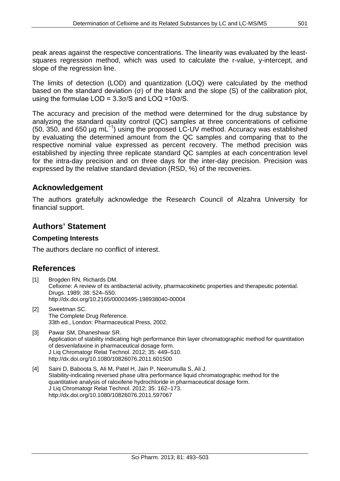peak areas against the respective concentrations. The linearity was evaluated by the leastsquares regression method, which was used to calculate the r-value, y-intercept, and slope of the regression line.

The limits of detection (LOD) and quantization (LOQ) were calculated by the method based on the standard deviation (σ) of the blank and the slope (S) of the calibration plot, using the formulae LOD = 3.3σ/S and LOQ =10σ/S.

The accuracy and precision of the method were determined for the drug substance by analyzing the standard quality control (QC) samples at three concentrations of cefixime (50, 350, and 650 µg mL−1) using the proposed LC-UV method. Accuracy was established by evaluating the determined amount from the QC samples and comparing that to the respective nominal value expressed as percent recovery. The method precision was established by injecting three replicate standard QC samples at each concentration level for the intra-day precision and on three days for the inter-day precision. Precision was expressed by the relative standard deviation (RSD, %) of the recoveries.

# **Acknowledgement**

The authors gratefully acknowledge the Research Council of Alzahra University for financial support.

# **Authors' Statement**

#### **Competing Interests**

The authors declare no conflict of interest.

# **References**

- [1] Brogden RN, Richards DM. Cefixime: A review of its antibacterial activity, pharmacokinetic properties and therapeutic potential. Drugs. 1989; 38: 524–550. <http://dx.doi.org/10.2165/00003495-198938040-00004>
- [2] Sweetman SC. The Complete Drug Reference. 33th ed., London: Pharmaceutical Press, 2002.
- [3] Pawar SM, Dhaneshwar SR. Application of stability indicating high performance thin layer chromatographic method for quantitation of desvenlafaxine in pharmaceutical dosage form. J Liq Chromatogr Relat Technol. 2012; 35: 449–510. <http://dx.doi.org/10.1080/10826076.2011.601500>
- [4] Saini D, Baboota S, Ali M, Patel H, Jain P, Neerumulla S, Ali J. Stability-indicating reversed phase ultra performance liquid chromatographic method for the quantitative analysis of raloxifene hydrochloride in pharmaceutical dosage form. J Liq Chromatogr Relat Technol. 2012; 35: 162–173. <http://dx.doi.org/10.1080/10826076.2011.597067>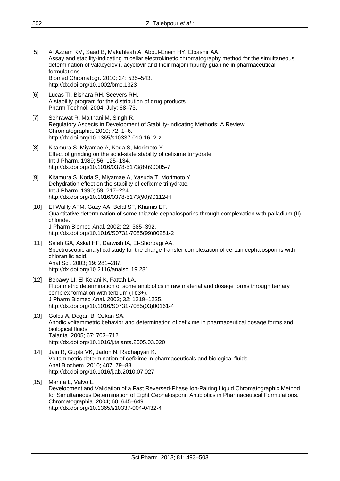- [5] Al Azzam KM, Saad B, Makahleah A, Aboul-Enein HY, Elbashir AA. Assay and stability-indicating micellar electrokinetic chromatography method for the simultaneous determination of valacyclovir, acyclovir and their major impurity guanine in pharmaceutical formulations. Biomed Chromatogr. 2010; 24: 535–543. <http://dx.doi.org/10.1002/bmc.1323>
- [6] Lucas TI, Bishara RH, Seevers RH. A stability program for the distribution of drug products. Pharm Technol. 2004; July: 68–73.
- [7] Sehrawat R, Maithani M, Singh R. Regulatory Aspects in Development of Stability-Indicating Methods: A Review. Chromatographia. 2010; 72: 1–6. <http://dx.doi.org/10.1365/s10337-010-1612-z>
- [8] Kitamura S, Miyamae A, Koda S, Morimoto Y. Effect of grinding on the solid-state stability of cefixime trihydrate. Int J Pharm. 1989; 56: 125–134. [http://dx.doi.org/10.1016/0378-5173\(89\)90005-7](http://dx.doi.org/10.1016/0378-5173(89)90005-7)
- [9] Kitamura S, Koda S, Miyamae A, Yasuda T, Morimoto Y. Dehydration effect on the stability of cefixime trihydrate. Int J Pharm. 1990; 59: 217–224. [http://dx.doi.org/10.1016/0378-5173\(90\)90112-H](http://dx.doi.org/10.1016/0378-5173(90)90112-H)
- [10] El-Walily AFM, Gazy AA, Belal SF, Khamis EF. Quantitative determination of some thiazole cephalosporins through complexation with palladium (II) chloride. J Pharm Biomed Anal. 2002; 22: 385–392. [http://dx.doi.org/10.1016/S0731-7085\(99\)00281-2](http://dx.doi.org/10.1016/S0731-7085(99)00281-2)
- [11] Saleh GA, Askal HF, Darwish IA, El-Shorbagi AA. Spectroscopic analytical study for the charge-transfer complexation of certain cephalosporins with chloranilic acid. Anal Sci. 2003; 19: 281–287. <http://dx.doi.org/10.2116/analsci.19.281>
- [12] Bebawy LI, El-Kelani K, Fattah LA. Fluorimetric determination of some antibiotics in raw material and dosage forms through ternary complex formation with terbium (Tb3+). J Pharm Biomed Anal. 2003; 32: 1219–1225. [http://dx.doi.org/10.1016/S0731-7085\(03\)00161-4](http://dx.doi.org/10.1016/S0731-7085(03)00161-4)
- [13] Golcu A, Dogan B, Ozkan SA. Anodic voltammetric behavior and determination of cefixime in pharmaceutical dosage forms and biological fluids. Talanta. 2005; 67: 703–712. <http://dx.doi.org/10.1016/j.talanta.2005.03.020>
- [14] Jain R, Gupta VK, Jadon N, Radhapyari K. Voltammetric determination of cefixime in pharmaceuticals and biological fluids. Anal Biochem. 2010; 407: 79–88. <http://dx.doi.org/10.1016/j.ab.2010.07.027>
- [15] Manna L, Valvo L. Development and Validation of a Fast Reversed-Phase Ion-Pairing Liquid Chromatographic Method for Simultaneous Determination of Eight Cephalosporin Antibiotics in Pharmaceutical Formulations. Chromatographia. 2004; 60: 645–649. <http://dx.doi.org/10.1365/s10337-004-0432-4>